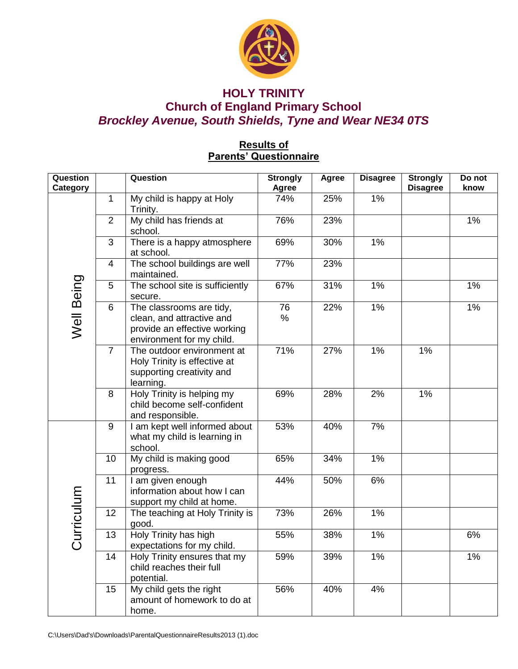

## **HOLY TRINITY Church of England Primary School** *Brockley Avenue, South Shields, Tyne and Wear NE34 0TS*

### **Results of Parents' Questionnaire**

| <b>Question</b><br>Category |                | Question                                                                                                           | <b>Strongly</b><br>Agree | Agree | <b>Disagree</b> | <b>Strongly</b><br><b>Disagree</b> | Do not<br>know |
|-----------------------------|----------------|--------------------------------------------------------------------------------------------------------------------|--------------------------|-------|-----------------|------------------------------------|----------------|
| Well Being                  | 1              | My child is happy at Holy<br>Trinity.                                                                              | 74%                      | 25%   | 1%              |                                    |                |
|                             | $\overline{2}$ | My child has friends at<br>school.                                                                                 | 76%                      | 23%   |                 |                                    | 1%             |
|                             | $\mathfrak{B}$ | There is a happy atmosphere<br>at school.                                                                          | 69%                      | 30%   | 1%              |                                    |                |
|                             | 4              | The school buildings are well<br>maintained.                                                                       | 77%                      | 23%   |                 |                                    |                |
|                             | 5              | The school site is sufficiently<br>secure.                                                                         | 67%                      | 31%   | 1%              |                                    | 1%             |
|                             | 6              | The classrooms are tidy,<br>clean, and attractive and<br>provide an effective working<br>environment for my child. | 76<br>$\%$               | 22%   | 1%              |                                    | 1%             |
|                             | $\overline{7}$ | The outdoor environment at<br>Holy Trinity is effective at<br>supporting creativity and<br>learning.               | 71%                      | 27%   | 1%              | 1%                                 |                |
|                             | 8              | Holy Trinity is helping my<br>child become self-confident<br>and responsible.                                      | 69%                      | 28%   | 2%              | 1%                                 |                |
| Curriculum                  | 9              | I am kept well informed about<br>what my child is learning in<br>school.                                           | 53%                      | 40%   | 7%              |                                    |                |
|                             | 10             | My child is making good<br>progress.                                                                               | 65%                      | 34%   | 1%              |                                    |                |
|                             | 11             | I am given enough<br>information about how I can<br>support my child at home.                                      | 44%                      | 50%   | 6%              |                                    |                |
|                             | 12             | The teaching at Holy Trinity is<br>good.                                                                           | 73%                      | 26%   | 1%              |                                    |                |
|                             | 13             | Holy Trinity has high<br>expectations for my child.                                                                | 55%                      | 38%   | 1%              |                                    | 6%             |
|                             | 14             | Holy Trinity ensures that my<br>child reaches their full<br>potential.                                             | 59%                      | 39%   | 1%              |                                    | 1%             |
|                             | 15             | My child gets the right<br>amount of homework to do at<br>home.                                                    | 56%                      | 40%   | 4%              |                                    |                |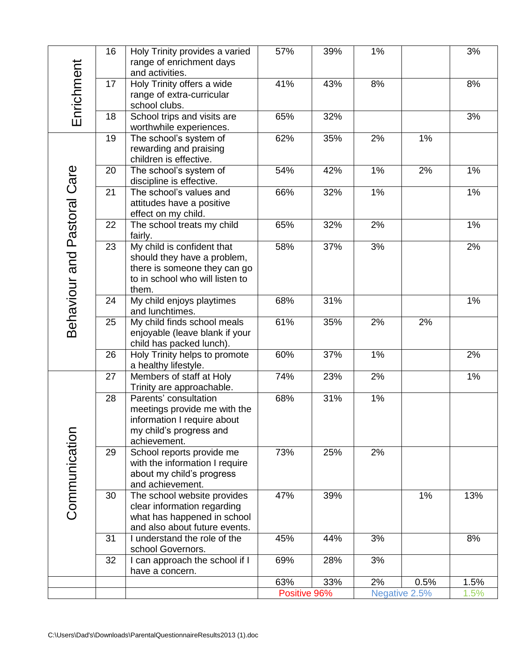| Enrichment                  | 16 | Holy Trinity provides a varied<br>range of enrichment days<br>and activities.                                                         | 57%          | 39% | 1%            |      | 3%   |
|-----------------------------|----|---------------------------------------------------------------------------------------------------------------------------------------|--------------|-----|---------------|------|------|
|                             | 17 | Holy Trinity offers a wide<br>range of extra-curricular<br>school clubs.                                                              | 41%          | 43% | 8%            |      | 8%   |
|                             | 18 | School trips and visits are<br>worthwhile experiences.                                                                                | 65%          | 32% |               |      | 3%   |
| Behaviour and Pastoral Care | 19 | The school's system of<br>rewarding and praising<br>children is effective.                                                            | 62%          | 35% | 2%            | 1%   |      |
|                             | 20 | The school's system of<br>discipline is effective.                                                                                    | 54%          | 42% | 1%            | 2%   | 1%   |
|                             | 21 | The school's values and<br>attitudes have a positive<br>effect on my child.                                                           | 66%          | 32% | 1%            |      | 1%   |
|                             | 22 | The school treats my child<br>fairly.                                                                                                 | 65%          | 32% | 2%            |      | 1%   |
|                             | 23 | My child is confident that<br>should they have a problem,<br>there is someone they can go<br>to in school who will listen to<br>them. | 58%          | 37% | 3%            |      | 2%   |
|                             | 24 | My child enjoys playtimes<br>and lunchtimes.                                                                                          | 68%          | 31% |               |      | 1%   |
|                             | 25 | My child finds school meals<br>enjoyable (leave blank if your<br>child has packed lunch).                                             | 61%          | 35% | 2%            | 2%   |      |
|                             | 26 | Holy Trinity helps to promote<br>a healthy lifestyle.                                                                                 | 60%          | 37% | 1%            |      | 2%   |
| Communication               | 27 | Members of staff at Holy<br>Trinity are approachable.                                                                                 | 74%          | 23% | 2%            |      | 1%   |
|                             | 28 | Parents' consultation<br>meetings provide me with the<br>information I require about<br>my child's progress and<br>achievement.       | 68%          | 31% | 1%            |      |      |
|                             | 29 | School reports provide me<br>with the information I require<br>about my child's progress<br>and achievement.                          | 73%          | 25% | 2%            |      |      |
|                             | 30 | The school website provides<br>clear information regarding<br>what has happened in school<br>and also about future events.            | 47%          | 39% |               | 1%   | 13%  |
|                             | 31 | I understand the role of the<br>school Governors.                                                                                     | 45%          | 44% | 3%            |      | 8%   |
|                             | 32 | I can approach the school if I<br>have a concern.                                                                                     | 69%          | 28% | 3%            |      |      |
|                             |    |                                                                                                                                       | 63%          | 33% | 2%            | 0.5% | 1.5% |
|                             |    |                                                                                                                                       | Positive 96% |     | Negative 2.5% |      | 1.5% |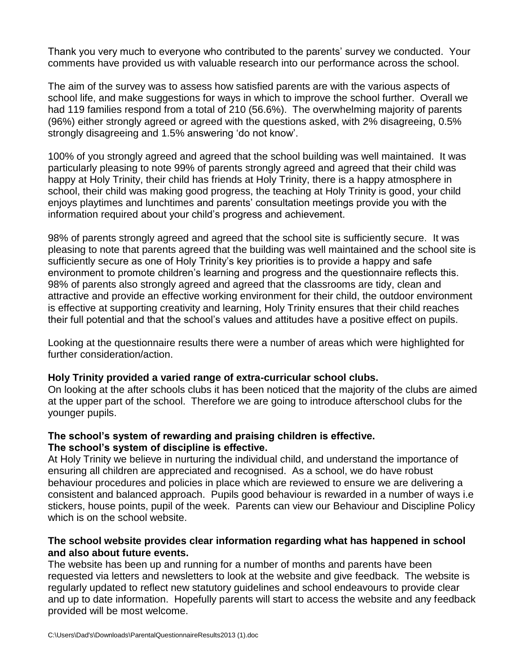Thank you very much to everyone who contributed to the parents' survey we conducted. Your comments have provided us with valuable research into our performance across the school.

The aim of the survey was to assess how satisfied parents are with the various aspects of school life, and make suggestions for ways in which to improve the school further. Overall we had 119 families respond from a total of 210 (56.6%). The overwhelming majority of parents (96%) either strongly agreed or agreed with the questions asked, with 2% disagreeing, 0.5% strongly disagreeing and 1.5% answering 'do not know'.

100% of you strongly agreed and agreed that the school building was well maintained. It was particularly pleasing to note 99% of parents strongly agreed and agreed that their child was happy at Holy Trinity, their child has friends at Holy Trinity, there is a happy atmosphere in school, their child was making good progress, the teaching at Holy Trinity is good, your child enjoys playtimes and lunchtimes and parents' consultation meetings provide you with the information required about your child's progress and achievement.

98% of parents strongly agreed and agreed that the school site is sufficiently secure. It was pleasing to note that parents agreed that the building was well maintained and the school site is sufficiently secure as one of Holy Trinity's key priorities is to provide a happy and safe environment to promote children's learning and progress and the questionnaire reflects this. 98% of parents also strongly agreed and agreed that the classrooms are tidy, clean and attractive and provide an effective working environment for their child, the outdoor environment is effective at supporting creativity and learning, Holy Trinity ensures that their child reaches their full potential and that the school's values and attitudes have a positive effect on pupils.

Looking at the questionnaire results there were a number of areas which were highlighted for further consideration/action.

### **Holy Trinity provided a varied range of extra-curricular school clubs.**

On looking at the after schools clubs it has been noticed that the majority of the clubs are aimed at the upper part of the school. Therefore we are going to introduce afterschool clubs for the younger pupils.

# **The school's system of rewarding and praising children is effective.**

### **The school's system of discipline is effective.**

At Holy Trinity we believe in nurturing the individual child, and understand the importance of ensuring all children are appreciated and recognised. As a school, we do have robust behaviour procedures and policies in place which are reviewed to ensure we are delivering a consistent and balanced approach. Pupils good behaviour is rewarded in a number of ways i.e stickers, house points, pupil of the week. Parents can view our Behaviour and Discipline Policy which is on the school website.

### **The school website provides clear information regarding what has happened in school and also about future events.**

The website has been up and running for a number of months and parents have been requested via letters and newsletters to look at the website and give feedback. The website is regularly updated to reflect new statutory guidelines and school endeavours to provide clear and up to date information. Hopefully parents will start to access the website and any feedback provided will be most welcome.